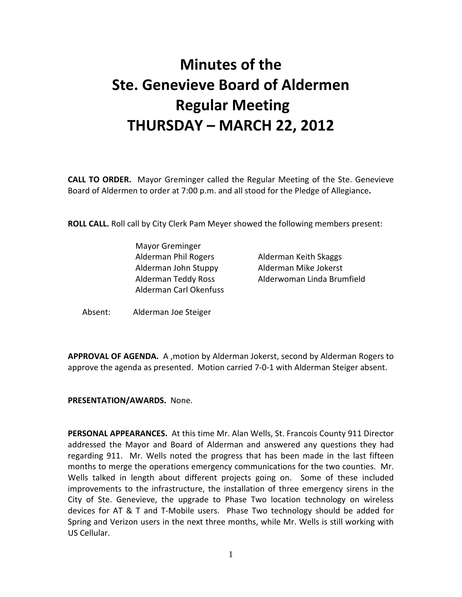# Minutes of the Ste. Genevieve Board of Aldermen Regular Meeting THURSDAY – MARCH 22, 2012

CALL TO ORDER. Mayor Greminger called the Regular Meeting of the Ste. Genevieve Board of Aldermen to order at 7:00 p.m. and all stood for the Pledge of Allegiance.

ROLL CALL. Roll call by City Clerk Pam Meyer showed the following members present:

 Mayor Greminger Alderman Phil Rogers **Alderman Keith Skaggs**  Alderman John Stuppy Alderman Mike Jokerst Alderman Carl Okenfuss

Alderman Teddy Ross Alderwoman Linda Brumfield

Absent: Alderman Joe Steiger

APPROVAL OF AGENDA. A , motion by Alderman Jokerst, second by Alderman Rogers to approve the agenda as presented. Motion carried 7-0-1 with Alderman Steiger absent.

#### PRESENTATION/AWARDS. None.

PERSONAL APPEARANCES. At this time Mr. Alan Wells, St. Francois County 911 Director addressed the Mayor and Board of Alderman and answered any questions they had regarding 911. Mr. Wells noted the progress that has been made in the last fifteen months to merge the operations emergency communications for the two counties. Mr. Wells talked in length about different projects going on. Some of these included improvements to the infrastructure, the installation of three emergency sirens in the City of Ste. Genevieve, the upgrade to Phase Two location technology on wireless devices for AT & T and T-Mobile users. Phase Two technology should be added for Spring and Verizon users in the next three months, while Mr. Wells is still working with US Cellular.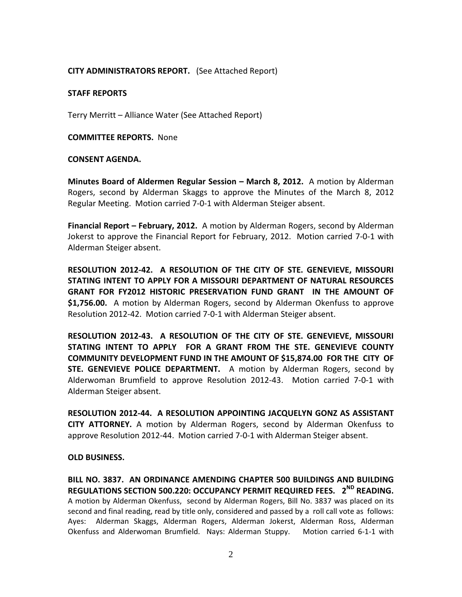## CITY ADMINISTRATORS REPORT. (See Attached Report)

#### STAFF REPORTS

Terry Merritt – Alliance Water (See Attached Report)

COMMITTEE REPORTS. None

#### CONSENT AGENDA.

Minutes Board of Aldermen Regular Session – March 8, 2012. A motion by Alderman Rogers, second by Alderman Skaggs to approve the Minutes of the March 8, 2012 Regular Meeting. Motion carried 7-0-1 with Alderman Steiger absent.

Financial Report – February, 2012. A motion by Alderman Rogers, second by Alderman Jokerst to approve the Financial Report for February, 2012. Motion carried 7-0-1 with Alderman Steiger absent.

RESOLUTION 2012-42. A RESOLUTION OF THE CITY OF STE. GENEVIEVE, MISSOURI STATING INTENT TO APPLY FOR A MISSOURI DEPARTMENT OF NATURAL RESOURCES GRANT FOR FY2012 HISTORIC PRESERVATION FUND GRANT IN THE AMOUNT OF \$1,756.00. A motion by Alderman Rogers, second by Alderman Okenfuss to approve Resolution 2012-42. Motion carried 7-0-1 with Alderman Steiger absent.

RESOLUTION 2012-43. A RESOLUTION OF THE CITY OF STE. GENEVIEVE, MISSOURI STATING INTENT TO APPLY FOR A GRANT FROM THE STE. GENEVIEVE COUNTY COMMUNITY DEVELOPMENT FUND IN THE AMOUNT OF \$15,874.00 FOR THE CITY OF STE. GENEVIEVE POLICE DEPARTMENT**.** A motion by Alderman Rogers, second by Alderwoman Brumfield to approve Resolution 2012-43. Motion carried 7-0-1 with Alderman Steiger absent.

RESOLUTION 2012-44. A RESOLUTION APPOINTING JACQUELYN GONZ AS ASSISTANT CITY ATTORNEY. A motion by Alderman Rogers, second by Alderman Okenfuss to approve Resolution 2012-44. Motion carried 7-0-1 with Alderman Steiger absent.

OLD BUSINESS.

BILL NO. 3837. AN ORDINANCE AMENDING CHAPTER 500 BUILDINGS AND BUILDING REGULATIONS SECTION 500.220: OCCUPANCY PERMIT REQUIRED FEES. 2<sup>ND</sup> READING. A motion by Alderman Okenfuss, second by Alderman Rogers, Bill No. 3837 was placed on its second and final reading, read by title only, considered and passed by a roll call vote as follows: Ayes: Alderman Skaggs, Alderman Rogers, Alderman Jokerst, Alderman Ross, Alderman Okenfuss and Alderwoman Brumfield. Nays: Alderman Stuppy. Motion carried 6-1-1 with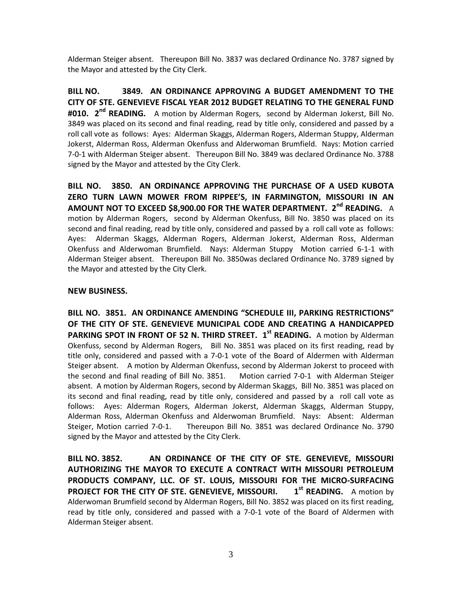Alderman Steiger absent. Thereupon Bill No. 3837 was declared Ordinance No. 3787 signed by the Mayor and attested by the City Clerk.

BILL NO. 3849. AN ORDINANCE APPROVING A BUDGET AMENDMENT TO THE CITY OF STE. GENEVIEVE FISCAL YEAR 2012 BUDGET RELATING TO THE GENERAL FUND #010. 2<sup>nd</sup> READING. A motion by Alderman Rogers, second by Alderman Jokerst, Bill No. 3849 was placed on its second and final reading, read by title only, considered and passed by a roll call vote as follows: Ayes: Alderman Skaggs, Alderman Rogers, Alderman Stuppy, Alderman Jokerst, Alderman Ross, Alderman Okenfuss and Alderwoman Brumfield. Nays: Motion carried 7-0-1 with Alderman Steiger absent. Thereupon Bill No. 3849 was declared Ordinance No. 3788 signed by the Mayor and attested by the City Clerk.

BILL NO. 3850. AN ORDINANCE APPROVING THE PURCHASE OF A USED KUBOTA ZERO TURN LAWN MOWER FROM RIPPEE'S, IN FARMINGTON, MISSOURI IN AN AMOUNT NOT TO EXCEED \$8,900.00 FOR THE WATER DEPARTMENT.  $2^{nd}$  READING. A motion by Alderman Rogers, second by Alderman Okenfuss, Bill No. 3850 was placed on its second and final reading, read by title only, considered and passed by a roll call vote as follows: Ayes: Alderman Skaggs, Alderman Rogers, Alderman Jokerst, Alderman Ross, Alderman Okenfuss and Alderwoman Brumfield. Nays: Alderman Stuppy Motion carried 6-1-1 with Alderman Steiger absent. Thereupon Bill No. 3850was declared Ordinance No. 3789 signed by the Mayor and attested by the City Clerk.

#### NEW BUSINESS.

BILL NO. 3851. AN ORDINANCE AMENDING "SCHEDULE III, PARKING RESTRICTIONS" OF THE CITY OF STE. GENEVIEVE MUNICIPAL CODE AND CREATING A HANDICAPPED PARKING SPOT IN FRONT OF 52 N. THIRD STREET. 1<sup>st</sup> READING. A motion by Alderman Okenfuss, second by Alderman Rogers, Bill No. 3851 was placed on its first reading, read by title only, considered and passed with a 7-0-1 vote of the Board of Aldermen with Alderman Steiger absent. A motion by Alderman Okenfuss, second by Alderman Jokerst to proceed with the second and final reading of Bill No. 3851. Motion carried 7-0-1 with Alderman Steiger absent. A motion by Alderman Rogers, second by Alderman Skaggs, Bill No. 3851 was placed on its second and final reading, read by title only, considered and passed by a roll call vote as follows: Ayes: Alderman Rogers, Alderman Jokerst, Alderman Skaggs, Alderman Stuppy, Alderman Ross, Alderman Okenfuss and Alderwoman Brumfield. Nays: Absent: Alderman Steiger, Motion carried 7-0-1. Thereupon Bill No. 3851 was declared Ordinance No. 3790 signed by the Mayor and attested by the City Clerk.

BILL NO. 3852. AN ORDINANCE OF THE CITY OF STE. GENEVIEVE, MISSOURI AUTHORIZING THE MAYOR TO EXECUTE A CONTRACT WITH MISSOURI PETROLEUM PRODUCTS COMPANY, LLC. OF ST. LOUIS, MISSOURI FOR THE MICRO-SURFACING **PROJECT FOR THE CITY OF STE. GENEVIEVE, MISSOURI.**  $1<sup>st</sup>$  **READING.** A motion by Alderwoman Brumfield second by Alderman Rogers, Bill No. 3852 was placed on its first reading, read by title only, considered and passed with a 7-0-1 vote of the Board of Aldermen with Alderman Steiger absent.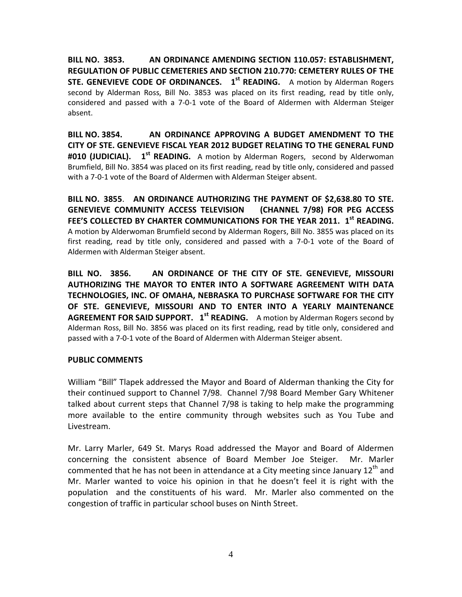BILL NO. 3853. AN ORDINANCE AMENDING SECTION 110.057: ESTABLISHMENT, REGULATION OF PUBLIC CEMETERIES AND SECTION 210.770: CEMETERY RULES OF THE STE. GENEVIEVE CODE OF ORDINANCES. 1<sup>st</sup> READING. A motion by Alderman Rogers second by Alderman Ross, Bill No. 3853 was placed on its first reading, read by title only, considered and passed with a 7-0-1 vote of the Board of Aldermen with Alderman Steiger absent.

BILL NO. 3854. AN ORDINANCE APPROVING A BUDGET AMENDMENT TO THE CITY OF STE. GENEVIEVE FISCAL YEAR 2012 BUDGET RELATING TO THE GENERAL FUND #010 (JUDICIAL). 1<sup>st</sup> READING. A motion by Alderman Rogers, second by Alderwoman Brumfield, Bill No. 3854 was placed on its first reading, read by title only, considered and passed with a 7-0-1 vote of the Board of Aldermen with Alderman Steiger absent.

BILL NO. 3855 . AN ORDINANCE AUTHORIZING THE PAYMENT OF \$2,638.80 TO STE. GENEVIEVE COMMUNITY ACCESS TELEVISION (CHANNEL 7/98) FOR PEG ACCESS FEE'S COLLECTED BY CHARTER COMMUNICATIONS FOR THE YEAR 2011. 1<sup>st</sup> READING. A motion by Alderwoman Brumfield second by Alderman Rogers, Bill No. 3855 was placed on its first reading, read by title only, considered and passed with a 7-0-1 vote of the Board of Aldermen with Alderman Steiger absent.

BILL NO. 3856. AN ORDINANCE OF THE CITY OF STE. GENEVIEVE, MISSOURI AUTHORIZING THE MAYOR TO ENTER INTO A SOFTWARE AGREEMENT WITH DATA TECHNOLOGIES, INC. OF OMAHA, NEBRASKA TO PURCHASE SOFTWARE FOR THE CITY OF STE. GENEVIEVE, MISSOURI AND TO ENTER INTO A YEARLY MAINTENANCE **AGREEMENT FOR SAID SUPPORT.**  $1<sup>st</sup>$  **READING.** A motion by Alderman Rogers second by Alderman Ross, Bill No. 3856 was placed on its first reading, read by title only, considered and passed with a 7-0-1 vote of the Board of Aldermen with Alderman Steiger absent.

# PUBLIC COMMENTS

William "Bill" Tlapek addressed the Mayor and Board of Alderman thanking the City for their continued support to Channel 7/98. Channel 7/98 Board Member Gary Whitener talked about current steps that Channel 7/98 is taking to help make the programming more available to the entire community through websites such as You Tube and Livestream.

Mr. Larry Marler, 649 St. Marys Road addressed the Mayor and Board of Aldermen concerning the consistent absence of Board Member Joe Steiger. Mr. Marler commented that he has not been in attendance at a City meeting since January 12<sup>th</sup> and Mr. Marler wanted to voice his opinion in that he doesn't feel it is right with the population and the constituents of his ward. Mr. Marler also commented on the congestion of traffic in particular school buses on Ninth Street.